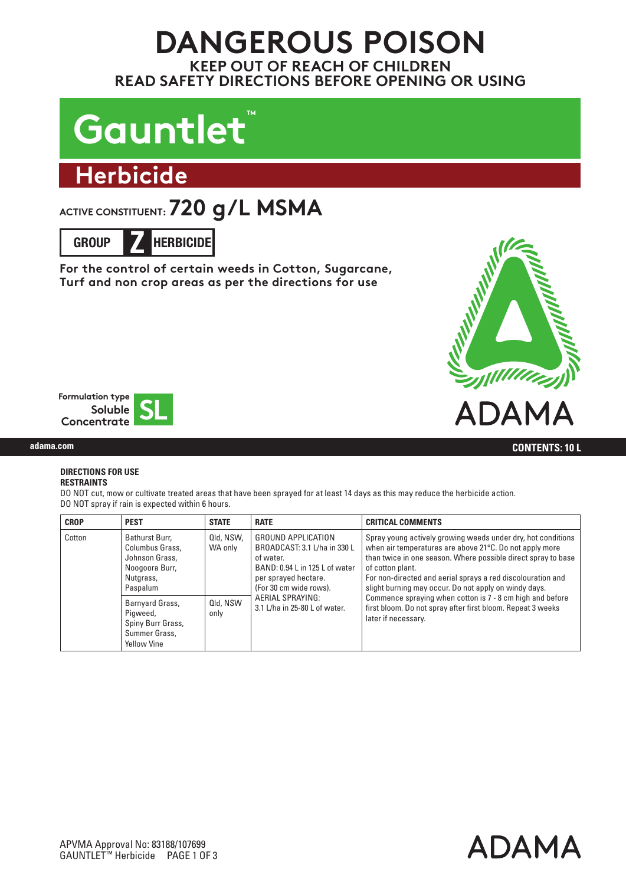## **DANGEROUS POISON KEEP OUT OF REACH OF CHILDREN READ SAFETY DIRECTIONS BEFORE OPENING OR USING**

# Gauntlet<sup>®</sup>

# **Herbicide**

## ACTIVE CONSTITUENT: **720 g/L MSMA**

**GROUP Z HERBICIDE**

**For the control of certain weeds in Cotton, Sugarcane, Turf and non crop areas as per the directions for use**





#### **DIRECTIONS FOR USE RESTRAINTS**

DO NOT cut, mow or cultivate treated areas that have been sprayed for at least 14 days as this may reduce the herbicide action. DO NOT spray if rain is expected within 6 hours.

| <b>CROP</b> | <b>PEST</b>                                                                                    | <b>STATE</b>         | <b>RATE</b>                                                                                                                                                                                                            | <b>CRITICAL COMMENTS</b>                                                                                                                                                                                                                                                                                                                                                                                                                                                                |
|-------------|------------------------------------------------------------------------------------------------|----------------------|------------------------------------------------------------------------------------------------------------------------------------------------------------------------------------------------------------------------|-----------------------------------------------------------------------------------------------------------------------------------------------------------------------------------------------------------------------------------------------------------------------------------------------------------------------------------------------------------------------------------------------------------------------------------------------------------------------------------------|
| Cotton      | Bathurst Burr,<br>Columbus Grass.<br>Johnson Grass,<br>Noogoora Burr,<br>Nutgrass,<br>Paspalum | Qld, NSW,<br>WA only | <b>GROUND APPLICATION</b><br>BROADCAST: 3.1 L/ha in 330 L<br>of water.<br>BAND: 0.94 L in 125 L of water<br>per sprayed hectare.<br>(For 30 cm wide rows).<br><b>AERIAL SPRAYING:</b><br>3.1 L/ha in 25-80 L of water. | Spray young actively growing weeds under dry, hot conditions<br>when air temperatures are above 21°C. Do not apply more<br>than twice in one season. Where possible direct spray to base<br>of cotton plant.<br>For non-directed and aerial sprays a red discolouration and<br>slight burning may occur. Do not apply on windy days.<br>Commence spraying when cotton is 7 - 8 cm high and before<br>first bloom. Do not spray after first bloom. Repeat 3 weeks<br>later if necessary. |
|             | Barnyard Grass,<br>Pigweed,<br>Spiny Burr Grass,<br>Summer Grass,<br><b>Yellow Vine</b>        | Qld, NSW<br>only     |                                                                                                                                                                                                                        |                                                                                                                                                                                                                                                                                                                                                                                                                                                                                         |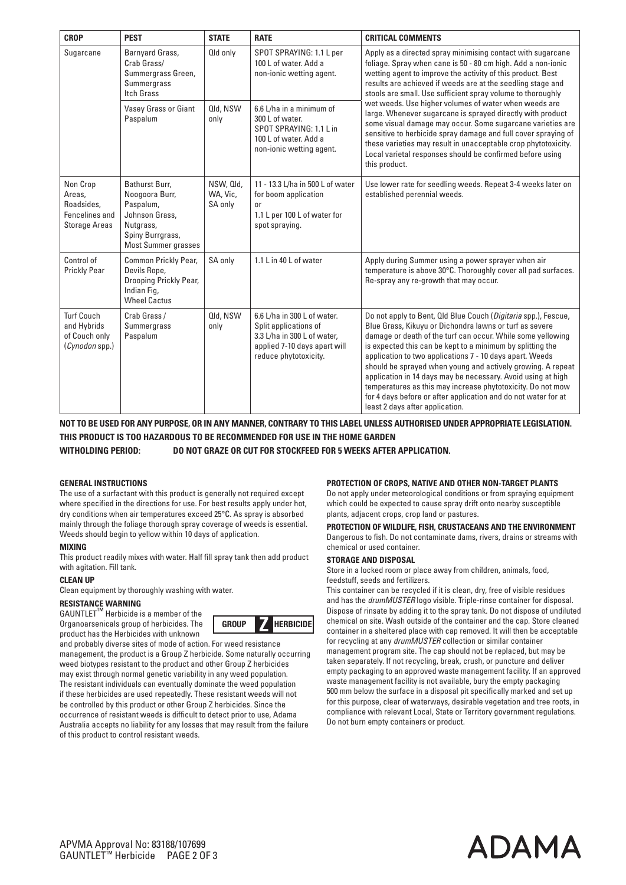| <b>CROP</b>                                                                | <b>PEST</b>                                                                                                                    | <b>STATE</b>                     | <b>RATE</b>                                                                                                                                  | <b>CRITICAL COMMENTS</b>                                                                                                                                                                                                                                                                                                                                                                                                                                                                                                                                                                                                                                                                                                        |
|----------------------------------------------------------------------------|--------------------------------------------------------------------------------------------------------------------------------|----------------------------------|----------------------------------------------------------------------------------------------------------------------------------------------|---------------------------------------------------------------------------------------------------------------------------------------------------------------------------------------------------------------------------------------------------------------------------------------------------------------------------------------------------------------------------------------------------------------------------------------------------------------------------------------------------------------------------------------------------------------------------------------------------------------------------------------------------------------------------------------------------------------------------------|
| Sugarcane                                                                  | Barnyard Grass,<br>Crab Grass/<br>Summergrass Green,<br>Summergrass<br>Itch Grass                                              | Qld only                         | SPOT SPRAYING: 1.1 L per<br>100 L of water. Add a<br>non-ionic wetting agent.                                                                | Apply as a directed spray minimising contact with sugarcane<br>foliage. Spray when cane is 50 - 80 cm high. Add a non-ionic<br>wetting agent to improve the activity of this product. Best<br>results are achieved if weeds are at the seedling stage and<br>stools are small. Use sufficient spray volume to thoroughly<br>wet weeds. Use higher volumes of water when weeds are<br>large. Whenever sugarcane is sprayed directly with product<br>some visual damage may occur. Some sugarcane varieties are<br>sensitive to herbicide spray damage and full cover spraying of<br>these varieties may result in unacceptable crop phytotoxicity.<br>Local varietal responses should be confirmed before using<br>this product. |
|                                                                            | <b>Vasey Grass or Giant</b><br>Paspalum                                                                                        | Qld, NSW<br>only                 | $6.6$ L/ha in a minimum of<br>300 L of water.<br>SPOT SPRAYING: 1.1 L in<br>100 L of water. Add a<br>non-ionic wetting agent.                |                                                                                                                                                                                                                                                                                                                                                                                                                                                                                                                                                                                                                                                                                                                                 |
| Non Crop<br>Areas,<br>Roadsides,<br>Fencelines and<br><b>Storage Areas</b> | Bathurst Burr.<br>Noogoora Burr,<br>Paspalum,<br>Johnson Grass,<br>Nutgrass,<br>Spiny Burrgrass,<br><b>Most Summer grasses</b> | NSW, Qld,<br>WA, Vic,<br>SA only | 11 - 13.3 L/ha in 500 L of water<br>for boom application<br>or<br>1.1 L per 100 L of water for<br>spot spraying.                             | Use lower rate for seedling weeds. Repeat 3-4 weeks later on<br>established perennial weeds.                                                                                                                                                                                                                                                                                                                                                                                                                                                                                                                                                                                                                                    |
| Control of<br><b>Prickly Pear</b>                                          | Common Prickly Pear,<br>Devils Rope,<br>Drooping Prickly Pear,<br>Indian Fig,<br><b>Wheel Cactus</b>                           | SA only                          | 1.1 L in 40 L of water                                                                                                                       | Apply during Summer using a power sprayer when air<br>temperature is above 30°C. Thoroughly cover all pad surfaces.<br>Re-spray any re-growth that may occur.                                                                                                                                                                                                                                                                                                                                                                                                                                                                                                                                                                   |
| <b>Turf Couch</b><br>and Hybrids<br>of Couch only<br>(Cynodon spp.)        | Crab Grass/<br>Summergrass<br>Paspalum                                                                                         | Qld, NSW<br>only                 | 6.6 L/ha in 300 L of water.<br>Split applications of<br>3.3 L/ha in 300 L of water.<br>applied 7-10 days apart will<br>reduce phytotoxicity. | Do not apply to Bent, Qld Blue Couch (Digitaria spp.), Fescue,<br>Blue Grass, Kikuyu or Dichondra lawns or turf as severe<br>damage or death of the turf can occur. While some yellowing<br>is expected this can be kept to a minimum by splitting the<br>application to two applications 7 - 10 days apart. Weeds<br>should be sprayed when young and actively growing. A repeat<br>application in 14 days may be necessary. Avoid using at high<br>temperatures as this may increase phytotoxicity. Do not mow<br>for 4 days before or after application and do not water for at<br>least 2 days after application.                                                                                                           |

**NOT TO BE USED FOR ANY PURPOSE, OR IN ANY MANNER, CONTRARY TO THIS LABEL UNLESS AUTHORISED UNDER APPROPRIATE LEGISLATION. THIS PRODUCT IS TOO HAZARDOUS TO BE RECOMMENDED FOR USE IN THE HOME GARDEN**

**WITHOLDING PERIOD: DO NOT GRAZE OR CUT FOR STOCKFEED FOR 5 WEEKS AFTER APPLICATION.**

#### **GENERAL INSTRUCTIONS**

The use of a surfactant with this product is generally not required except where specified in the directions for use. For best results apply under hot, dry conditions when air temperatures exceed 25°C. As spray is absorbed mainly through the foliage thorough spray coverage of weeds is essential. Weeds should begin to yellow within 10 days of application.

#### **MIXING**

This product readily mixes with water. Half fill spray tank then add product with agitation. Fill tank.

## **CLEAN UP**

Clean equipment by thoroughly washing with water.

**RESISTANCE WARNING**<br>GAUNTLET™ Herbicide is a member of the Organoarsenicals group of herbicides. The product has the Herbicides with unknown



and probably diverse sites of mode of action. For weed resistance management, the product is a Group Z herbicide. Some naturally occurring weed biotypes resistant to the product and other Group Z herbicides may exist through normal genetic variability in any weed population. The resistant individuals can eventually dominate the weed population if these herbicides are used repeatedly. These resistant weeds will not be controlled by this product or other Group Z herbicides. Since the occurrence of resistant weeds is difficult to detect prior to use, Adama Australia accepts no liability for any losses that may result from the failure of this product to control resistant weeds.

#### **PROTECTION OF CROPS, NATIVE AND OTHER NON-TARGET PLANTS**

Do not apply under meteorological conditions or from spraying equipment which could be expected to cause spray drift onto nearby susceptible plants, adjacent crops, crop land or pastures.

**PROTECTION OF WILDLIFE, FISH, CRUSTACEANS AND THE ENVIRONMENT**

Dangerous to fish. Do not contaminate dams, rivers, drains or streams with chemical or used container.

#### **STORAGE AND DISPOSAL**

Store in a locked room or place away from children, animals, food, feedstuff, seeds and fertilizers.

This container can be recycled if it is clean, dry, free of visible residues and has the *drumMUSTER* logo visible. Triple-rinse container for disposal. Dispose of rinsate by adding it to the spray tank. Do not dispose of undiluted chemical on site. Wash outside of the container and the cap. Store cleaned container in a sheltered place with cap removed. It will then be acceptable for recycling at any *drumMUSTER* collection or similar container management program site. The cap should not be replaced, but may be taken separately. If not recycling, break, crush, or puncture and deliver empty packaging to an approved waste management facility. If an approved waste management facility is not available, bury the empty packaging 500 mm below the surface in a disposal pit specifically marked and set up for this purpose, clear of waterways, desirable vegetation and tree roots, in compliance with relevant Local, State or Territory government regulations. Do not burn empty containers or product.